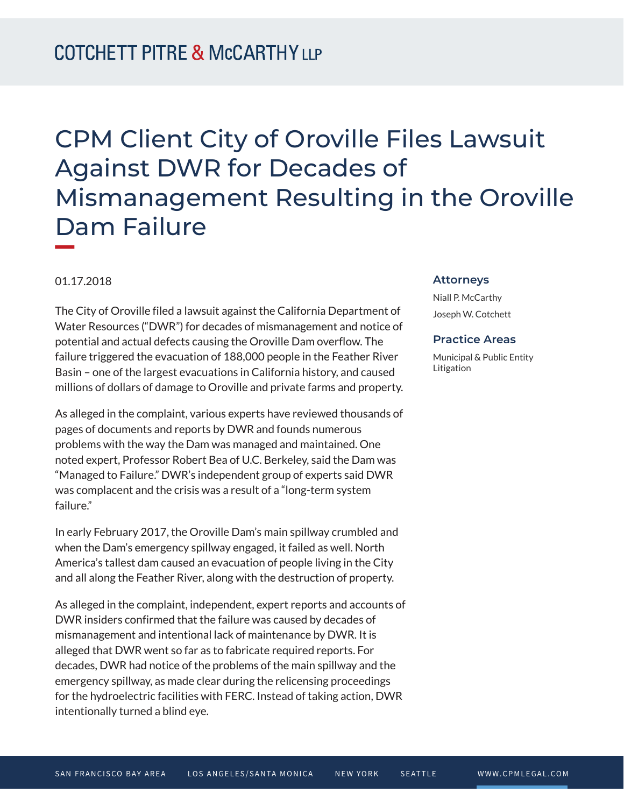# CPM Client City of Oroville Files Lawsuit Against DWR for Decades of Mismanagement Resulting in the Oroville Dam Failure **William Company**

#### 01.17.2018

The City of Oroville filed a lawsuit against the California Department of Water Resources ("DWR") for decades of mismanagement and notice of potential and actual defects causing the Oroville Dam overflow. The failure triggered the evacuation of 188,000 people in the Feather River Basin – one of the largest evacuations in California history, and caused millions of dollars of damage to Oroville and private farms and property.

As alleged in the complaint, various experts have reviewed thousands of pages of documents and reports by DWR and founds numerous problems with the way the Dam was managed and maintained. One noted expert, Professor Robert Bea of U.C. Berkeley, said the Dam was "Managed to Failure." DWR's independent group of experts said DWR was complacent and the crisis was a result of a "long-term system failure."

In early February 2017, the Oroville Dam's main spillway crumbled and when the Dam's emergency spillway engaged, it failed as well. North America's tallest dam caused an evacuation of people living in the City and all along the Feather River, along with the destruction of property.

As alleged in the complaint, independent, expert reports and accounts of DWR insiders confirmed that the failure was caused by decades of mismanagement and intentional lack of maintenance by DWR. It is alleged that DWR went so far as to fabricate required reports. For decades, DWR had notice of the problems of the main spillway and the emergency spillway, as made clear during the relicensing proceedings for the hydroelectric facilities with FERC. Instead of taking action, DWR intentionally turned a blind eye.

#### **Attorneys**

Niall P. McCarthy Joseph W. Cotchett

### **Practice Areas**

Municipal & Public Entity Litigation